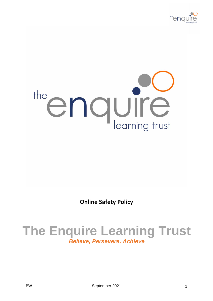

# the enquire

**Online Safety Policy**

# **The Enquire Learning Trust** *Believe, Persevere, Achieve*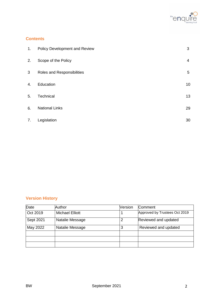

# **Contents**

| 1. | Policy Development and Review | 3  |
|----|-------------------------------|----|
| 2. | Scope of the Policy           | 4  |
| 3  | Roles and Responsibilities    | 5  |
| 4. | Education                     | 10 |
| 5. | Technical                     | 13 |
| 6. | <b>National Links</b>         | 29 |
| 7. | Legislation                   | 30 |

# **Version History**

| Date      | Author                 | Version | Comment                       |
|-----------|------------------------|---------|-------------------------------|
| Oct 2019  | <b>Michael Elliott</b> |         | Approved by Trustees Oct 2019 |
| Sept 2021 | Natalie Message        | 2       | Reviewed and updated          |
| May 2022  | Natalie Message        | 3       | Reviewed and updated          |
|           |                        |         |                               |
|           |                        |         |                               |
|           |                        |         |                               |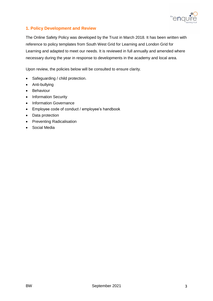

# **1. Policy Development and Review**

The Online Safety Policy was developed by the Trust in March 2018. It has been written with reference to policy templates from South West Grid for Learning and London Grid for Learning and adapted to meet our needs. It is reviewed in full annually and amended where necessary during the year in response to developments in the academy and local area.

Upon review, the policies below will be consulted to ensure clarity.

- Safeguarding / child protection.
- Anti-bullying
- **•** Behaviour
- Information Security
- Information Governance
- Employee code of conduct / employee's handbook
- Data protection
- Preventing Radicalisation
- Social Media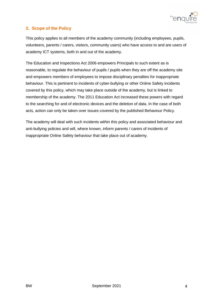

# **2. Scope of the Policy**

This policy applies to all members of the academy community (including employees, pupils, volunteers, parents / carers, visitors, community users) who have access to and are users of academy ICT systems, both in and out of the academy.

The Education and Inspections Act 2006 empowers Principals to such extent as is reasonable, to regulate the behaviour of pupils / pupils when they are off the academy site and empowers members of employees to impose disciplinary penalties for inappropriate behaviour. This is pertinent to incidents of cyber-bullying or other Online Safety incidents covered by this policy, which may take place outside of the academy, but is linked to membership of the academy. The 2011 Education Act increased these powers with regard to the searching for and of electronic devices and the deletion of data. In the case of both acts, action can only be taken over issues covered by the published Behaviour Policy.

The academy will deal with such incidents within this policy and associated behaviour and anti-bullying policies and will, where known, inform parents / carers of incidents of inappropriate Online Safety behaviour that take place out of academy.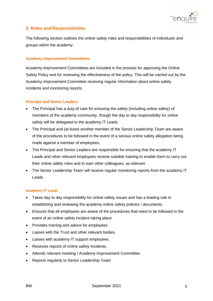

# **3. Roles and Responsibilities**

The following section outlines the online safety roles and responsibilities of individuals and groups within the academy:

#### **Academy Improvement Committees**

Academy Improvement Committees are included in the process for approving the Online Safety Policy and for reviewing the effectiveness of the policy. This will be carried out by the Academy Improvement Committee receiving regular information about online safety incidents and monitoring reports.

#### **Principal and Senior Leaders**

- The Principal has a duty of care for ensuring the safety (including online safety) of members of the academy community, though the day to day responsibility for online safety will be delegated to the academy IT Leads.
- The Principal and (at least) another member of the Senior Leadership Team are aware of the procedures to be followed in the event of a serious online safety allegation being made against a member of employees.
- The Principal and Senior Leaders are responsible for ensuring that the academy IT Leads and other relevant employees receive suitable training to enable them to carry out their online safety roles and to train other colleagues, as relevant.
- The Senior Leadership Team will receive regular monitoring reports from the academy IT Leads.

#### **Academy IT Lead:**

- Takes day to day responsibility for online safety issues and has a leading role in establishing and reviewing the academy online safety policies / documents.
- Ensures that all employees are aware of the procedures that need to be followed in the event of an online safety incident taking place.
- Provides training and advice for employees.
- Liaises with the Trust and other relevant bodies.
- Liaises with academy IT support employees.
- Receives reports of online safety incidents.
- Attends relevant meeting / Academy Improvement Committee.
- Reports regularly to Senior Leadership Team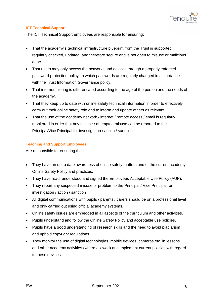

#### **ICT Technical Support**

The ICT Technical Support employees are responsible for ensuring:

- That the academy's technical infrastructure blueprint from the Trust is supported, regularly checked, updated, and therefore secure and is not open to misuse or malicious attack.
- That users may only access the networks and devices through a properly enforced password protection policy, in which passwords are regularly changed in accordance with the Trust Information Governance policy.
- That internet filtering is differentiated according to the age of the person and the needs of the academy.
- That they keep up to date with online safety technical information in order to effectively carry out their online safety role and to inform and update others as relevant.
- That the use of the academy network / internet / remote access / email is regularly monitored in order that any misuse / attempted misuse can be reported to the Principal/Vice Principal for investigation / action / sanction.

#### **Teaching and Support Employees**

Are responsible for ensuring that:

- They have an up to date awareness of online safety matters and of the current academy Online Safety Policy and practices.
- They have read, understood and signed the Employees Acceptable Use Policy (AUP).
- They report any suspected misuse or problem to the Principal / Vice Principal for investigation / action / sanction
- All digital communications with pupils / parents / carers should be on a professional level and only carried out using official academy systems.
- Online safety issues are embedded in all aspects of the curriculum and other activities.
- Pupils understand and follow the Online Safety Policy and acceptable use policies.
- Pupils have a good understanding of research skills and the need to avoid plagiarism and uphold copyright regulations.
- They monitor the use of digital technologies, mobile devices, cameras etc. in lessons and other academy activities (where allowed) and implement current policies with regard to these devices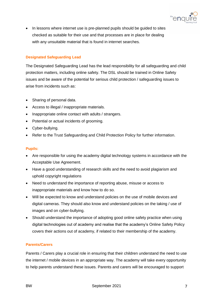

• In lessons where internet use is pre-planned pupils should be guided to sites checked as suitable for their use and that processes are in place for dealing with any unsuitable material that is found in internet searches.

#### **Designated Safeguarding Lead**

The Designated Safeguarding Lead has the lead responsibility for all safeguarding and child protection matters, including online safety. The DSL should be trained in Online Safety issues and be aware of the potential for serious child protection / safeguarding issues to arise from incidents such as:

- Sharing of personal data.
- Access to illegal / inappropriate materials.
- Inappropriate online contact with adults / strangers.
- Potential or actual incidents of grooming.
- Cyber-bullying.
- Refer to the Trust Safeguarding and Child Protection Policy for further information.

#### **Pupils:**

- Are responsible for using the academy digital technology systems in accordance with the Acceptable Use Agreement.
- Have a good understanding of research skills and the need to avoid plagiarism and uphold copyright regulations
- Need to understand the importance of reporting abuse, misuse or access to inappropriate materials and know how to do so.
- Will be expected to know and understand policies on the use of mobile devices and digital cameras. They should also know and understand policies on the taking / use of images and on cyber-bullying.
- Should understand the importance of adopting good online safety practice when using digital technologies out of academy and realise that the academy's Online Safety Policy covers their actions out of academy, if related to their membership of the academy.

#### **Parents/Carers**

Parents / Carers play a crucial role in ensuring that their children understand the need to use the internet / mobile devices in an appropriate way. The academy will take every opportunity to help parents understand these issues. Parents and carers will be encouraged to support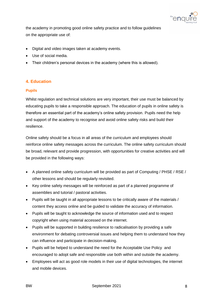

the academy in promoting good online safety practice and to follow guidelines on the appropriate use of:

- Digital and video images taken at academy events.
- Use of social media.
- Their children's personal devices in the academy (where this is allowed).

# **4. Education**

#### **Pupils**

Whilst regulation and technical solutions are very important, their use must be balanced by educating pupils to take a responsible approach. The education of pupils in online safety is therefore an essential part of the academy's online safety provision. Pupils need the help and support of the academy to recognise and avoid online safety risks and build their resilience.

Online safety should be a focus in all areas of the curriculum and employees should reinforce online safety messages across the curriculum. The online safety curriculum should be broad, relevant and provide progression, with opportunities for creative activities and will be provided in the following ways:

- A planned online safety curriculum will be provided as part of Computing / PHSE / RSE / other lessons and should be regularly revisited.
- Key online safety messages will be reinforced as part of a planned programme of assemblies and tutorial / pastoral activities.
- Pupils will be taught in all appropriate lessons to be critically aware of the materials / content they access online and be guided to validate the accuracy of information.
- Pupils will be taught to acknowledge the source of information used and to respect copyright when using material accessed on the internet.
- Pupils will be supported in building resilience to radicalisation by providing a safe environment for debating controversial issues and helping them to understand how they can influence and participate in decision-making.
- Pupils will be helped to understand the need for the Acceptable Use Policy and encouraged to adopt safe and responsible use both within and outside the academy.
- Employees will act as good role models in their use of digital technologies, the internet and mobile devices.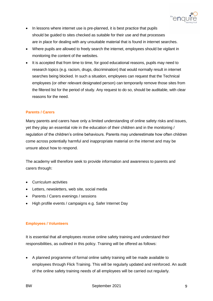

- In lessons where internet use is pre-planned, it is best practice that pupils should be guided to sites checked as suitable for their use and that processes are in place for dealing with any unsuitable material that is found in internet searches.
- Where pupils are allowed to freely search the internet, employees should be vigilant in monitoring the content of the websites.
- It is accepted that from time to time, for good educational reasons, pupils may need to research topics (e.g. racism, drugs, discrimination) that would normally result in internet searches being blocked. In such a situation, employees can request that the Technical employees (or other relevant designated person) can temporarily remove those sites from the filtered list for the period of study. Any request to do so, should be auditable, with clear reasons for the need.

#### **Parents / Carers**

Many parents and carers have only a limited understanding of online safety risks and issues, yet they play an essential role in the education of their children and in the monitoring / regulation of the children's online behaviours. Parents may underestimate how often children come across potentially harmful and inappropriate material on the internet and may be unsure about how to respond.

The academy will therefore seek to provide information and awareness to parents and carers through:

- Curriculum activities
- Letters, newsletters, web site, social media
- Parents / Carers evenings / sessions
- High profile events / campaigns e.g. Safer Internet Day

#### **Employees / Volunteers**

It is essential that all employees receive online safety training and understand their responsibilities, as outlined in this policy. Training will be offered as follows:

 A planned programme of formal online safety training will be made available to employees through Flick Training. This will be regularly updated and reinforced. An audit of the online safety training needs of all employees will be carried out regularly.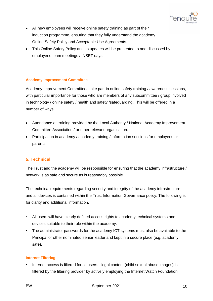

- All new employees will receive online safety training as part of their induction programme, ensuring that they fully understand the academy Online Safety Policy and Acceptable Use Agreements.
- This Online Safety Policy and its updates will be presented to and discussed by employees team meetings / INSET days.

#### **Academy Improvement Committee**

Academy Improvement Committees take part in online safety training / awareness sessions, with particular importance for those who are members of any subcommittee / group involved in technology / online safety / health and safety /safeguarding. This will be offered in a number of ways:

- Attendance at training provided by the Local Authority / National Academy Improvement Committee Association / or other relevant organisation.
- Participation in academy / academy training / information sessions for employees or parents.

#### **5. Technical**

The Trust and the academy will be responsible for ensuring that the academy infrastructure / network is as safe and secure as is reasonably possible.

The technical requirements regarding security and integrity of the academy infrastructure and all devices is contained within the Trust Information Governance policy. The following is for clarity and additional information.

- All users will have clearly defined access rights to academy technical systems and devices suitable to their role within the academy.
- *•* The administrator passwords for the academy ICT systems must also be available to the Principal or other nominated senior leader and kept in a secure place (e.g. academy safe).

#### **Internet Filtering**

*•* Internet access is filtered for all users. Illegal content (child sexual abuse images) is filtered by the filtering provider by actively employing the Internet Watch Foundation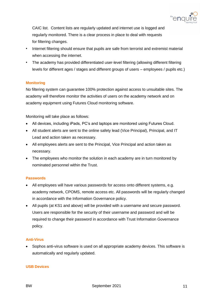

CAIC list. Content lists are regularly updated and internet use is logged and regularly monitored. There is a clear process in place to deal with requests for filtering changes.

- *•* Internet filtering should ensure that pupils are safe from terrorist and extremist material when accessing the internet.
- *•* The academy has provided differentiated user-level filtering (allowing different filtering levels for different ages / stages and different groups of users – employees / pupils etc.)

#### **Monitoring**

No filtering system can guarantee 100% protection against access to unsuitable sites. The academy will therefore monitor the activities of users on the academy network and on academy equipment using Futures Cloud monitoring software.

Monitoring will take place as follows:

- All devices, including iPads, PC's and laptops are monitored using Futures Cloud.
- All student alerts are sent to the online safety lead (Vice Principal), Principal, and IT Lead and action taken as necessary.
- All employees alerts are sent to the Principal, Vice Principal and action taken as necessary.
- The employees who monitor the solution in each academy are in turn monitored by nominated personnel within the Trust.

#### **Passwords**

- All employees will have various passwords for access onto different systems, e.g. academy network, CPOMS, remote access etc. All passwords will be regularly changed in accordance with the Information Governance policy.
- All pupils (at KS1 and above) will be provided with a username and secure password. Users are responsible for the security of their username and password and will be required to change their password in accordance with Trust Information Governance policy.

#### **Anti-Virus**

• Sophos anti-virus software is used on all appropriate academy devices. This software is automatically and regularly updated.

#### **USB Devices**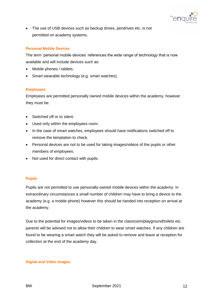

• The use of USB devices such as backup drives, pendrives etc. is not permitted on academy systems.

#### **Personal Mobile Devices**

The term 'personal mobile devices' references the wide range of technology that is now available and will include devices such as:

- Mobile phones / tablets.
- Smart wearable technology (e.g. smart watches).

#### **Employees**

Employees are permitted personally owned mobile devices within the academy, however they must be:

- Switched off or to silent.
- Used only within the employees room.
- In the case of smart watches, employees should have notifications switched off to remove the temptation to check.
- Personal devices are not to be used for taking images/videos of the pupils or other members of employees.
- Not used for direct contact with pupils.

#### **Pupils**

Pupils are not permitted to use personally-owned mobile devices within the academy. In extraordinary circumstances a small number of children may have to bring a device to the academy (e.g. a mobile phone) however this should be handed into reception on arrival at the academy.

Due to the potential for images/videos to be taken in the classroom/playground/toilets etc. parents will be advised not to allow their children to wear smart watches. If any children are found to be wearing a smart watch they will be asked to remove and leave at reception for collection at the end of the academy day.

#### **Digital and Video Images**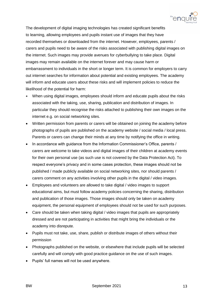

The development of digital imaging technologies has created significant benefits to learning, allowing employees and pupils instant use of images that they have recorded themselves or downloaded from the internet. However, employees, parents / carers and pupils need to be aware of the risks associated with publishing digital images on the internet. Such images may provide avenues for cyberbullying to take place. Digital images may remain available on the internet forever and may cause harm or embarrassment to individuals in the short or longer term. It is common for employers to carry out internet searches for information about potential and existing employees. The academy will inform and educate users about these risks and will implement policies to reduce the likelihood of the potential for harm:

- When using digital images, employees should inform and educate pupils about the risks associated with the taking, use, sharing, publication and distribution of images. In particular they should recognise the risks attached to publishing their own images on the internet e.g. on social networking sites.
- Written permission from parents or carers will be obtained on joining the academy before photographs of pupils are published on the academy website / social media / local press. Parents or carers can change their minds at any time by notifying the office in writing.
- In accordance with guidance from the Information Commissioner's Office, parents / carers are welcome to take videos and digital images of their children at academy events for their own personal use (as such use is not covered by the Data Protection Act). To respect everyone's privacy and in some cases protection, these images should not be published / made publicly available on social networking sites, nor should parents / carers comment on any activities involving other pupils in the digital / video images.
- Employees and volunteers are allowed to take digital / video images to support educational aims, but must follow academy policies concerning the sharing, distribution and publication of those images. Those images should only be taken on academy equipment, the personal equipment of employees should not be used for such purposes.
- Care should be taken when taking digital / video images that pupils are appropriately dressed and are not participating in activities that might bring the individuals or the academy into disrepute.
- Pupils must not take, use, share, publish or distribute images of others without their permission
- Photographs published on the website, or elsewhere that include pupils will be selected carefully and will comply with good practice guidance on the use of such images.
- Pupils' full names will not be used anywhere.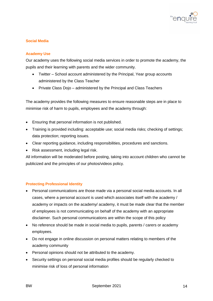

#### **Social Media**

#### **Academy Use**

Our academy uses the following social media services in order to promote the academy, the pupils and their learning with parents and the wider community.

- Twitter School account administered by the Principal, Year group accounts administered by the Class Teacher
- Private Class Dojo administered by the Principal and Class Teachers

The academy provides the following measures to ensure reasonable steps are in place to minimise risk of harm to pupils, employees and the academy through:

- Ensuring that personal information is not published.
- Training is provided including: acceptable use; social media risks; checking of settings; data protection; reporting issues.
- Clear reporting guidance, including responsibilities, procedures and sanctions.
- Risk assessment, including legal risk.

All information will be moderated before posting, taking into account children who cannot be publicized and the principles of our photos/videos policy.

#### **Protecting Professional Identity**

- Personal communications are those made via a personal social media accounts. In all cases, where a personal account is used which associates itself with the academy / academy or impacts on the academy/ academy, it must be made clear that the member of employees is not communicating on behalf of the academy with an appropriate disclaimer. Such personal communications are within the scope of this policy
- No reference should be made in social media to pupils, parents / carers or academy employees.
- Do not engage in online discussion on personal matters relating to members of the academy community
- Personal opinions should not be attributed to the academy.
- Security settings on personal social media profiles should be regularly checked to minimise risk of loss of personal information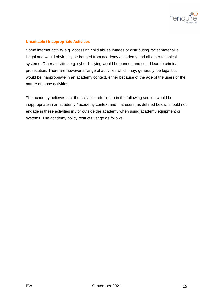

#### **Unsuitable / Inappropriate Activities**

Some internet activity e.g. accessing child abuse images or distributing racist material is illegal and would obviously be banned from academy / academy and all other technical systems. Other activities e.g. cyber-bullying would be banned and could lead to criminal prosecution. There are however a range of activities which may, generally, be legal but would be inappropriate in an academy context, either because of the age of the users or the nature of those activities.

The academy believes that the activities referred to in the following section would be inappropriate in an academy / academy context and that users, as defined below, should not engage in these activities in / or outside the academy when using academy equipment or systems. The academy policy restricts usage as follows: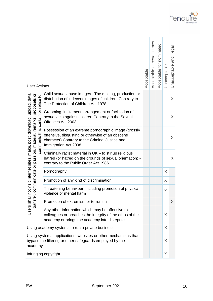

| <b>User Actions</b>                                                                                                                        |                                                                                                                                                                                     | Acceptable | Acceptable at certain times | Acceptable for nominated | Unacceptable | Unacceptable and illega |
|--------------------------------------------------------------------------------------------------------------------------------------------|-------------------------------------------------------------------------------------------------------------------------------------------------------------------------------------|------------|-----------------------------|--------------------------|--------------|-------------------------|
| proposals or                                                                                                                               | Child sexual abuse images - The making, production or<br>distribution of indecent images of children. Contrary to<br>The Protection of Children Act 1978                            |            |                             |                          |              | X                       |
|                                                                                                                                            | Grooming, incitement, arrangement or facilitation of<br>sexual acts against children Contrary to the Sexual<br>Offences Act 2003.                                                   |            |                             |                          |              | X                       |
| comments that contain or relate to:<br>not visit Internet sites, make, post, download, upload, data<br>on, material, remarks,              | Possession of an extreme pornographic image (grossly<br>offensive, disgusting or otherwise of an obscene<br>character) Contrary to the Criminal Justice and<br>Immigration Act 2008 |            |                             |                          |              | X                       |
| communicate or pass                                                                                                                        | Criminally racist material in UK - to stir up religious<br>hatred (or hatred on the grounds of sexual orientation) -<br>contrary to the Public Order Act 1986                       |            |                             |                          |              | X                       |
|                                                                                                                                            | Pornography                                                                                                                                                                         |            |                             |                          | X            |                         |
|                                                                                                                                            | Promotion of any kind of discrimination                                                                                                                                             |            |                             |                          | X            |                         |
|                                                                                                                                            | Threatening behaviour, including promotion of physical<br>violence or mental harm                                                                                                   |            |                             |                          | Χ            |                         |
| ansfer                                                                                                                                     | Promotion of extremism or terrorism                                                                                                                                                 |            |                             |                          |              | $\times$                |
| Users shall                                                                                                                                | Any other information which may be offensive to<br>colleagues or breaches the integrity of the ethos of the<br>academy or brings the academy into disrepute                         |            |                             |                          | X            |                         |
| Using academy systems to run a private business                                                                                            |                                                                                                                                                                                     |            |                             |                          | X            |                         |
| Using systems, applications, websites or other mechanisms that<br>bypass the filtering or other safeguards employed by the<br>X<br>academy |                                                                                                                                                                                     |            |                             |                          |              |                         |
|                                                                                                                                            | Infringing copyright<br>X                                                                                                                                                           |            |                             |                          |              |                         |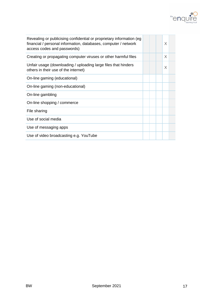

| Revealing or publicising confidential or proprietary information (eg<br>financial / personal information, databases, computer / network<br>access codes and passwords) |  | X |  |
|------------------------------------------------------------------------------------------------------------------------------------------------------------------------|--|---|--|
| Creating or propagating computer viruses or other harmful files                                                                                                        |  | X |  |
| Unfair usage (downloading / uploading large files that hinders<br>others in their use of the internet)                                                                 |  | X |  |
| On-line gaming (educational)                                                                                                                                           |  |   |  |
| On-line gaming (non-educational)                                                                                                                                       |  |   |  |
| On-line gambling                                                                                                                                                       |  |   |  |
| On-line shopping / commerce                                                                                                                                            |  |   |  |
| File sharing                                                                                                                                                           |  |   |  |
| Use of social media                                                                                                                                                    |  |   |  |
| Use of messaging apps                                                                                                                                                  |  |   |  |
| Use of video broadcasting e.g. YouTube                                                                                                                                 |  |   |  |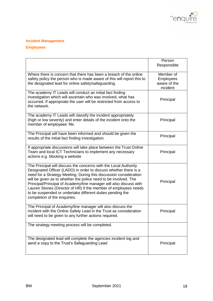

## **Incident Management**

## **Employees**

|                                                                                                                                                                                                                                                                                                                                                                                                                                                                                                                    | Person<br>Responsible                                     |
|--------------------------------------------------------------------------------------------------------------------------------------------------------------------------------------------------------------------------------------------------------------------------------------------------------------------------------------------------------------------------------------------------------------------------------------------------------------------------------------------------------------------|-----------------------------------------------------------|
| Where there is concern that there has been a breach of the online<br>safety policy the person who is made aware of this will report this to<br>the designated lead for online safety/safeguarding.                                                                                                                                                                                                                                                                                                                 | Member of<br><b>Employees</b><br>aware of the<br>incident |
| The academy IT Leads will conduct an initial fact finding<br>investigation which will ascertain who was involved, what has<br>occurred. If appropriate the user will be restricted from access to<br>the network.                                                                                                                                                                                                                                                                                                  | Principal                                                 |
| The academy IT Leads will classify the incident appropriately<br>(high or low severity) and enter details of the incident onto the<br>member of employees' file.                                                                                                                                                                                                                                                                                                                                                   | Principal                                                 |
| The Principal will have been informed and should be given the<br>results of the initial fact finding investigation.                                                                                                                                                                                                                                                                                                                                                                                                | Principal                                                 |
| If appropriate discussions will take place between the Trust Online<br>Team and local ICT Technicians to implement any necessary<br>actions e.g. blocking a website                                                                                                                                                                                                                                                                                                                                                | Principal                                                 |
| The Principal will discuss the concerns with the Local Authority<br>Designated Officer (LADO) in order to discuss whether there is a<br>need for a Strategy Meeting. During this discussion consideration<br>will be given as to whether the police need to be involved. The<br>Principal/Principal of Academy/line manager will also discuss with<br>Lauren Stones (Director of HR) if the member of employees needs<br>to be suspended or undertake different duties pending the<br>completion of the enquiries. | Principal                                                 |
| The Principal of Academy/line manager will also discuss the<br>incident with the Online Safety Lead in the Trust as consideration<br>will need to be given to any further actions required.                                                                                                                                                                                                                                                                                                                        | Principal                                                 |
| The strategy meeting process will be completed.                                                                                                                                                                                                                                                                                                                                                                                                                                                                    |                                                           |
| The designated lead will complete the agencies incident log and<br>send a copy to the Trust's Safeguarding Lead                                                                                                                                                                                                                                                                                                                                                                                                    | Principal                                                 |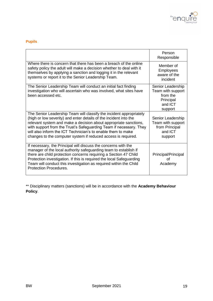

# **Pupils**

|                                                                                                                                                                                                                                                                                                                                                                                                                     | Person<br>Responsible                                                                 |
|---------------------------------------------------------------------------------------------------------------------------------------------------------------------------------------------------------------------------------------------------------------------------------------------------------------------------------------------------------------------------------------------------------------------|---------------------------------------------------------------------------------------|
| Where there is concern that there has been a breach of the online<br>safety policy the adult will make a decision whether to deal with it<br>themselves by applying a sanction and logging it in the relevant<br>systems or report it to the Senior Leadership Team.                                                                                                                                                | Member of<br><b>Employees</b><br>aware of the<br>incident                             |
| The Senior Leadership Team will conduct an initial fact finding<br>investigation who will ascertain who was involved, what sites have<br>been accessed etc.                                                                                                                                                                                                                                                         | Senior Leadership<br>Team with support<br>from the<br>Principal<br>and ICT<br>support |
| The Senior Leadership Team will classify the incident appropriately<br>(high or low severity) and enter details of the incident into the<br>relevant system and make a decision about appropriate sanctions,<br>with support from the Trust's Safeguarding Team if necessary. They<br>will also inform the ICT Technician's to enable them to make<br>changes to the computer system if reduced access is required. | Senior Leadership<br>Team with support<br>from Principal<br>and ICT<br>support        |
| If necessary, the Principal will discuss the concerns with the<br>manager of the local authority safeguarding team to establish if<br>there are child protection concerns requiring a Section 47 Child<br>Protection investigation. If this is required the local Safeguarding<br>Team will conduct this investigation as required within the Child<br><b>Protection Procedures.</b>                                | Principal/Principal<br>Ωf<br>Academy                                                  |

\*\* Disciplinary matters (sanctions) will be in accordance with the **Academy Behaviour Policy**.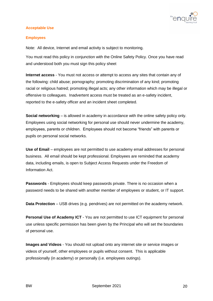

#### **Acceptable Use**

#### **Employees**

Note: All device, Internet and email activity is subject to monitoring.

You must read this policy in conjunction with the Online Safety Policy. Once you have read and understood both you must sign this policy sheet

**Internet access** - You must not access or attempt to access any sites that contain any of the following: child abuse; pornography; promoting discrimination of any kind; promoting racial or religious hatred; promoting illegal acts; any other information which may be illegal or offensive to colleagues. Inadvertent access must be treated as an e-safety incident, reported to the e-safety officer and an incident sheet completed.

**Social networking** – is allowed in academy in accordance with the online safety policy only. Employees using social networking for personal use should never undermine the academy, employees, parents or children. Employees should not become "friends" with parents or pupils on personal social networks.

**Use of Email** – employees are not permitted to use academy email addresses for personal business. All email should be kept professional. Employees are reminded that academy data, including emails, is open to Subject Access Requests under the Freedom of Information Act.

**Passwords** - Employees should keep passwords private. There is no occasion when a password needs to be shared with another member of employees or student, or IT support.

**Data Protection** – USB drives (e.g. pendrives) are not permitted on the academy network.

**Personal Use of Academy ICT** - You are not permitted to use ICT equipment for personal use unless specific permission has been given by the Principal who will set the boundaries of personal use.

**Images and Videos** - You should not upload onto any internet site or service images or videos of yourself, other employees or pupils without consent. This is applicable professionally (in academy) or personally (i.e. employees outings).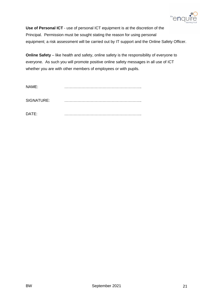

**Use of Personal ICT** - use of personal ICT equipment is at the discretion of the Principal. Permission must be sought stating the reason for using personal equipment; a risk assessment will be carried out by IT support and the Online Safety Officer.

**Online Safety** – like health and safety, online safety is the responsibility of everyone to everyone. As such you will promote positive online safety messages in all use of ICT whether you are with other members of employees or with pupils.

| NAME:      |  |
|------------|--|
| SIGNATURE: |  |
| DATE:      |  |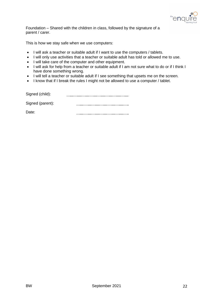

Foundation – Shared with the children in class, followed by the signature of a parent / carer.

This is how we stay safe when we use computers:

- I will ask a teacher or suitable adult if I want to use the computers / tablets.
- I will only use activities that a teacher or suitable adult has told or allowed me to use.
- I will take care of the computer and other equipment.
- I will ask for help from a teacher or suitable adult if I am not sure what to do or if I think I have done something wrong.
- I will tell a teacher or suitable adult if I see something that upsets me on the screen.
- I know that if I break the rules I might not be allowed to use a computer / tablet.

| Signed (child):  |  |
|------------------|--|
| Signed (parent): |  |
| Date:            |  |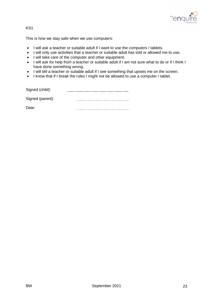

#### KS1

This is how we stay safe when we use computers:

- I will ask a teacher or suitable adult if I want to use the computers / tablets.
- I will only use activities that a teacher or suitable adult has told or allowed me to use.
- I will take care of the computer and other equipment.
- I will ask for help from a teacher or suitable adult if I am not sure what to do or if I think I have done something wrong.
- I will tell a teacher or suitable adult if I see something that upsets me on the screen.
- I know that if I break the rules I might not be allowed to use a computer / tablet.

| Signed (child):  |  |
|------------------|--|
| Signed (parent): |  |
| Date:            |  |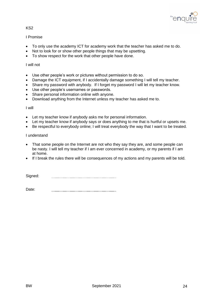

#### KS2

#### I Promise

- To only use the academy ICT for academy work that the teacher has asked me to do.
- Not to look for or show other people things that may be upsetting.
- To show respect for the work that other people have done.

#### I will not

- Use other people's work or pictures without permission to do so.
- Damage the ICT equipment, if I accidentally damage something I will tell my teacher.
- Share my password with anybody. If I forget my password I will let my teacher know.
- Use other people's usernames or passwords.
- Share personal information online with anyone.
- Download anything from the Internet unless my teacher has asked me to.

#### I will

- Let my teacher know if anybody asks me for personal information.
- Let my teacher know if anybody says or does anything to me that is hurtful or upsets me.
- Be respectful to everybody online; I will treat everybody the way that I want to be treated.

#### I understand

- That some people on the Internet are not who they say they are, and some people can be nasty. I will tell my teacher if I am ever concerned in academy, or my parents if I am at home.
- If I break the rules there will be consequences of my actions and my parents will be told.

Signed: 

Date: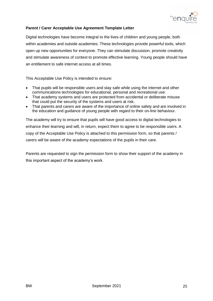

#### **Parent / Carer Acceptable Use Agreement Template Letter**

Digital technologies have become integral to the lives of children and young people, both within academies and outside academies. These technologies provide powerful tools, which open up new opportunities for everyone. They can stimulate discussion, promote creativity and stimulate awareness of context to promote effective learning. Young people should have an entitlement to safe internet access at all times.

This Acceptable Use Policy is intended to ensure:

- That pupils will be responsible users and stay safe while using the internet and other communications technologies for educational, personal and recreational use.
- That academy systems and users are protected from accidental or deliberate misuse that could put the security of the systems and users at risk.
- That parents and carers are aware of the importance of online safety and are involved in the education and guidance of young people with regard to their on-line behaviour.

The academy will try to ensure that pupils will have good access to digital technologies to enhance their learning and will, in return, expect them to agree to be responsible users. A copy of the Acceptable Use Policy is attached to this permission form, so that parents / carers will be aware of the academy expectations of the pupils in their care.

Parents are requested to sign the permission form to show their support of the academy in this important aspect of the academy's work.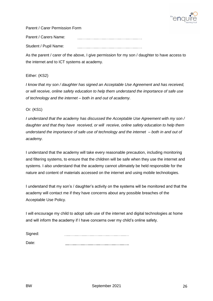

Parent / Carer Permission Form

Parent / Carers Name: Student / Pupil Name: 

As the parent / carer of the above, I give permission for my son / daughter to have access to the internet and to ICT systems at academy.

#### Either: (KS2)

*I know that my son / daughter has signed an Acceptable Use Agreement and has received, or will receive, online safety education to help them understand the importance of safe use of technology and the internet – both in and out of academy.* 

Or: (KS1)

*I understand that the academy has discussed the Acceptable Use Agreement with my son / daughter and that they have received, or will receive, online safety education to help them understand the importance of safe use of technology and the internet – both in and out of academy.* 

I understand that the academy will take every reasonable precaution, including monitoring and filtering systems, to ensure that the children will be safe when they use the internet and systems. I also understand that the academy cannot ultimately be held responsible for the nature and content of materials accessed on the internet and using mobile technologies.

I understand that my son's / daughter's activity on the systems will be monitored and that the academy will contact me if they have concerns about any possible breaches of the Acceptable Use Policy.

I will encourage my child to adopt safe use of the internet and digital technologies at home and will inform the academy if I have concerns over my child's online safety.

| Signed: |  |
|---------|--|
| יםזוכנו |  |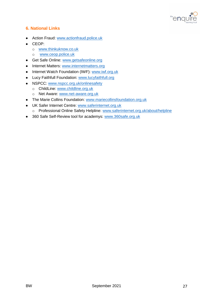

# **6. National Links**

- **•** Action Fraud: [www.actionfraud.police.uk](http://www.actionfraud.police.uk/)
- CEOP:
	- o [www.thinkuknow.co.uk](http://www.thinkuknow.co.uk/)
	- o [www.ceop.police.uk](http://www.ceop.police.uk/)
- Get Safe Online: [www.getsafeonline.org](http://www.getsafeonline.org/)
- Internet Matters: [www.internetmatters.org](http://www.internetmatters.org/)
- Internet Watch Foundation (IWF): [www.iwf.org.uk](http://www.iwf.org.uk/)
- Lucy Faithfull Foundation: [www.lucyfaithfull.org](http://www.lucyfaithfull.org/)
- NSPCC: [www.nspcc.org.uk/onlinesafety](http://www.nspcc.org.uk/onlinesafety)
	- o ChildLine: [www.childline.org.uk](http://www.childline.org.uk/)
	- o Net Aware: [www.net-aware.org.uk](http://www.net-aware.org.uk/)
- The Marie Collins Foundation: [www.mariecollinsfoundation.org.uk](http://www.mariecollinsfoundation.org.uk/)
- UK Safer Internet Centre: [www.saferinternet.org.uk](http://www.saferinternet.org.uk/)
	- o Professional Online Safety Helpline: [www.saferinternet.org.uk/about/helpline](http://www.saferinternet.org.uk/about/helpline)
- 360 Safe Self-Review tool for academys: [www.360safe.org.uk](http://www.360safe.org.uk/)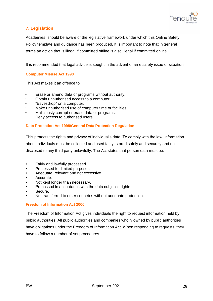

# **7. Legislation**

Academies should be aware of the legislative framework under which this Online Safety Policy template and guidance has been produced. It is important to note that in general terms an action that is illegal if committed offline is also illegal if committed online.

It is recommended that legal advice is sought in the advent of an e safety issue or situation.

#### **Computer Misuse Act 1990**

This Act makes it an offence to:

- Erase or amend data or programs without authority;
- Obtain unauthorised access to a computer;
- "Eavesdrop" on a computer;
- Make unauthorised use of computer time or facilities;
- Maliciously corrupt or erase data or programs;
- Deny access to authorised users.

#### **Data Protection Act 1998/General Data Protection Regulation**

This protects the rights and privacy of individual's data. To comply with the law, information about individuals must be collected and used fairly, stored safely and securely and not disclosed to any third party unlawfully. The Act states that person data must be:

- Fairly and lawfully processed.
- Processed for limited purposes.
- Adequate, relevant and not excessive.
- Accurate.
- Not kept longer than necessary.
- Processed in accordance with the data subject's rights.
- Secure.
- Not transferred to other countries without adequate protection.

#### **Freedom of Information Act 2000**

The Freedom of Information Act gives individuals the right to request information held by public authorities. All public authorities and companies wholly owned by public authorities have obligations under the Freedom of Information Act. When responding to requests, they have to follow a number of set procedures.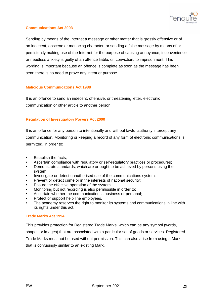

#### **Communications Act 2003**

Sending by means of the Internet a message or other matter that is grossly offensive or of an indecent, obscene or menacing character; or sending a false message by means of or persistently making use of the Internet for the purpose of causing annoyance, inconvenience or needless anxiety is guilty of an offence liable, on conviction, to imprisonment. This wording is important because an offence is complete as soon as the message has been sent: there is no need to prove any intent or purpose.

#### **Malicious Communications Act 1988**

It is an offence to send an indecent, offensive, or threatening letter, electronic communication or other article to another person.

#### **Regulation of Investigatory Powers Act 2000**

It is an offence for any person to intentionally and without lawful authority intercept any communication. Monitoring or keeping a record of any form of electronic communications is permitted, in order to:

- Establish the facts;
- Ascertain compliance with regulatory or self-regulatory practices or procedures;
- Demonstrate standards, which are or ought to be achieved by persons using the system;
- Investigate or detect unauthorised use of the communications system;
- Prevent or detect crime or in the interests of national security;
- Ensure the effective operation of the system.
- Monitoring but not recording is also permissible in order to:
- Ascertain whether the communication is business or personal;
- Protect or support help line employees.
- The academy reserves the right to monitor its systems and communications in line with its rights under this act.

#### **Trade Marks Act 1994**

This provides protection for Registered Trade Marks, which can be any symbol (words, shapes or images) that are associated with a particular set of goods or services. Registered Trade Marks must not be used without permission. This can also arise from using a Mark that is confusingly similar to an existing Mark.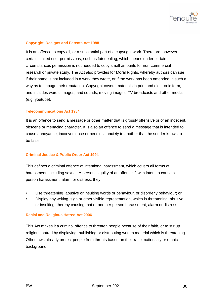

#### **Copyright, Designs and Patents Act 1988**

It is an offence to copy all, or a substantial part of a copyright work. There are, however, certain limited user permissions, such as fair dealing, which means under certain circumstances permission is not needed to copy small amounts for non-commercial research or private study. The Act also provides for Moral Rights, whereby authors can sue if their name is not included in a work they wrote, or if the work has been amended in such a way as to impugn their reputation. Copyright covers materials in print and electronic form, and includes words, images, and sounds, moving images, TV broadcasts and other media (e.g. youtube).

#### **Telecommunications Act 1984**

It is an offence to send a message or other matter that is grossly offensive or of an indecent, obscene or menacing character. It is also an offence to send a message that is intended to cause annoyance, inconvenience or needless anxiety to another that the sender knows to be false.

#### **Criminal Justice & Public Order Act 1994**

This defines a criminal offence of intentional harassment, which covers all forms of harassment, including sexual. A person is guilty of an offence if, with intent to cause a person harassment, alarm or distress, they:

- Use threatening, abusive or insulting words or behaviour, or disorderly behaviour; or
- Display any writing, sign or other visible representation, which is threatening, abusive or insulting, thereby causing that or another person harassment, alarm or distress.

#### **Racial and Religious Hatred Act 2006**

This Act makes it a criminal offence to threaten people because of their faith, or to stir up religious hatred by displaying, publishing or distributing written material which is threatening. Other laws already protect people from threats based on their race, nationality or ethnic background.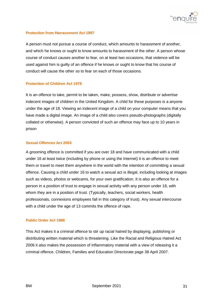

#### **Protection from Harrassment Act 1997**

A person must not pursue a course of conduct, which amounts to harassment of another, and which he knows or ought to know amounts to harassment of the other. A person whose course of conduct causes another to fear, on at least two occasions, that violence will be used against him is guilty of an offence if he knows or ought to know that his course of conduct will cause the other so to fear on each of those occasions.

#### **Protection of Children Act 1978**

It is an offence to take, permit to be taken, make, possess, show, distribute or advertise indecent images of children in the United Kingdom. A child for these purposes is a anyone under the age of 18. Viewing an indecent image of a child on your computer means that you have made a digital image. An image of a child also covers pseudo-photographs (digitally collated or otherwise). A person convicted of such an offence may face up to 10 years in prison

#### **Sexual Offences Act 2003**

A grooming offence is committed if you are over 18 and have communicated with a child under 16 at least twice (including by phone or using the Internet) it is an offence to meet them or travel to meet them anywhere in the world with the intention of committing a sexual offence. Causing a child under 16 to watch a sexual act is illegal, including looking at images such as videos, photos or webcams, for your own gratification. It is also an offence for a person in a position of trust to engage in sexual activity with any person under 18, with whom they are in a position of trust. (Typically, teachers, social workers, health professionals, connexions employees fall in this category of trust). Any sexual intercourse with a child under the age of 13 commits the offence of rape.

#### **Public Order Act 1986**

This Act makes it a criminal offence to stir up racial hatred by displaying, publishing or distributing written material which is threatening. Like the Racial and Religious Hatred Act 2006 it also makes the possession of inflammatory material with a view of releasing it a criminal offence. Children, Families and Education Directorate page 38 April 2007.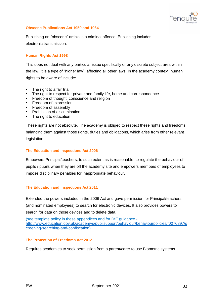

#### **Obscene Publications Act 1959 and 1964**

Publishing an "obscene" article is a criminal offence. Publishing includes electronic transmission.

#### **Human Rights Act 1998**

This does not deal with any particular issue specifically or any discrete subject area within the law. It is a type of "higher law", affecting all other laws. In the academy context, human rights to be aware of include:

- The right to a fair trial
- The right to respect for private and family life, home and correspondence
- Freedom of thought, conscience and religion
- Freedom of expression
- Freedom of assembly
- Prohibition of discrimination
- The right to education

These rights are not absolute. The academy is obliged to respect these rights and freedoms, balancing them against those rights, duties and obligations, which arise from other relevant legislation.

#### **The Education and Inspections Act 2006**

Empowers Principal/teachers, to such extent as is reasonable, to regulate the behaviour of pupils / pupils when they are off the academy site and empowers members of employees to impose disciplinary penalties for inappropriate behaviour.

#### **The Education and Inspections Act 2011**

Extended the powers included in the 2006 Act and gave permission for Principal/teachers (and nominated employees) to search for electronic devices. It also provides powers to search for data on those devices and to delete data.

(see template policy in these appendices and for DfE guidance [http://www.education.gov.uk/academys/pupilsupport/behaviour/behaviourpolicies/f0076897/s](http://www.education.gov.uk/schools/pupilsupport/behaviour/behaviourpolicies/f0076897/screening-searching-and-confiscation) [creening-searching-and-confiscation\)](http://www.education.gov.uk/schools/pupilsupport/behaviour/behaviourpolicies/f0076897/screening-searching-and-confiscation)

#### **The Protection of Freedoms Act 2012**

Requires academies to seek permission from a parent/carer to use Biometric systems